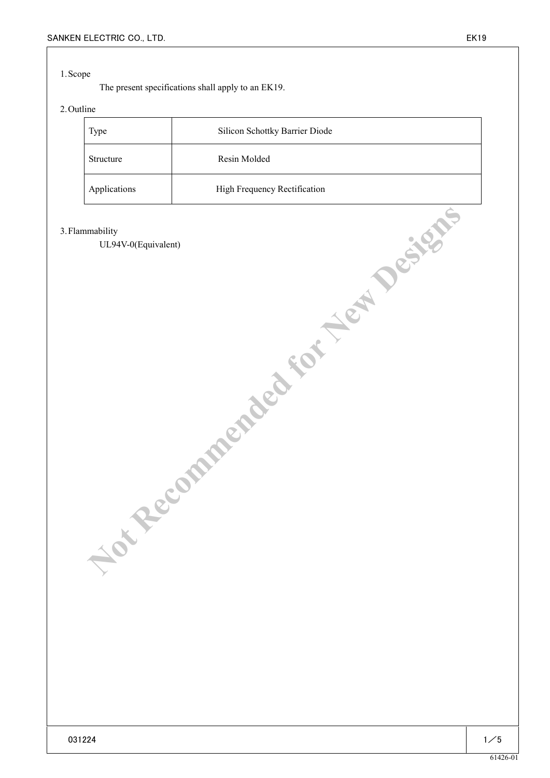## 1.Scope

The present specifications shall apply to an EK19.

# 2.Outline

| <b>Type</b>  | Silicon Schottky Barrier Diode |
|--------------|--------------------------------|
| Structure    | Resin Molded                   |
| Applications | High Frequency Rectification   |

#### 3.Flammability

UL94V-0(Equivalent) **Maddison Control Report Assembly Perfections**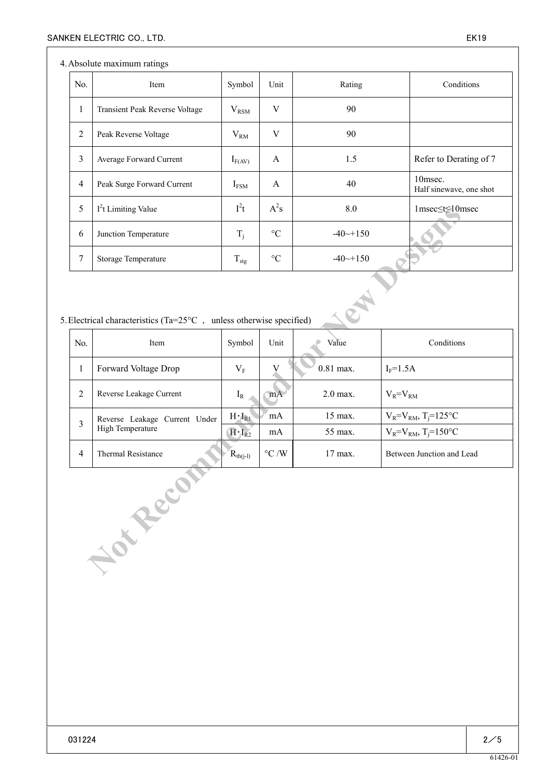## 4.Absolute maximum ratings

| No.            | Item                           | Symbol           | Unit            | Rating                 | Conditions                            |
|----------------|--------------------------------|------------------|-----------------|------------------------|---------------------------------------|
| $\mathbf{I}$   | Transient Peak Reverse Voltage | $V_{\rm RSM}$    | V               | 90                     |                                       |
| $\overline{2}$ | Peak Reverse Voltage           | $V_{RM}$         | V               | 90                     |                                       |
| 3              | Average Forward Current        | $I_{F(AV)}$      | A               | 1.5                    | Refer to Derating of 7                |
| $\overline{4}$ | Peak Surge Forward Current     | $I_{FSM}$        | A               | 40                     | $10$ msec.<br>Half sinewave, one shot |
| 5              | $I2t$ Limiting Value           | $I^2t$           | $A^2s$          | 8.0                    | 1msec≤t≤10msec                        |
| 6              | Junction Temperature           | $T_i$            | $\rm ^{\circ}C$ | $-40 \rightarrow +150$ |                                       |
| 7              | Storage Temperature            | $T_{\text{stg}}$ | $\rm ^{\circ}C$ | $-40 \rightarrow +150$ |                                       |

# 5. Electrical characteristics (Ta=25 $°C$ , unless otherwise specified)

| 5                                                                           | I't Limiting Value            | l <sup>2</sup> t | $A^2s$          | 8.0          | $1$ msec $\leq t \leq 10$ msec         |  |  |  |
|-----------------------------------------------------------------------------|-------------------------------|------------------|-----------------|--------------|----------------------------------------|--|--|--|
| 6                                                                           | Junction Temperature          |                  | $\rm ^{\circ}C$ | $-40$ $-150$ |                                        |  |  |  |
| $\tau$                                                                      | Storage Temperature           | $T_{\text{stg}}$ | $\rm ^{\circ}C$ | $-40$ $-150$ |                                        |  |  |  |
| Electrical characteristics (Ta= $25^{\circ}$ C, unless otherwise specified) |                               |                  |                 |              |                                        |  |  |  |
| No.                                                                         | Item                          | Symbol           | Unit            | Value        | Conditions                             |  |  |  |
| $\mathbf{1}$                                                                | Forward Voltage Drop          | $V_{F}$          | V               | $0.81$ max.  | $I_F=1.5A$                             |  |  |  |
| $\overline{2}$                                                              | Reverse Leakage Current       | $I_R$            | mA              | 2.0 max.     | $V_R = V_{RM}$                         |  |  |  |
| $\overline{3}$                                                              | Reverse Leakage Current Under | $H \cdot I_{R1}$ | mA              | 15 max.      | $V_R = V_{RM}$ , T <sub>j</sub> =125°C |  |  |  |
|                                                                             | High Temperature              | $H \cdot I_{R2}$ | mA              | 55 max.      | $V_R = V_{RM}$ , T <sub>j</sub> =150°C |  |  |  |
| $\overline{4}$                                                              | Thermal Resistance            | $R_{th(j-l)}$    | $^\circ C$ /W   | 17 max.      | Between Junction and Lead              |  |  |  |
| Lou Reco                                                                    |                               |                  |                 |              |                                        |  |  |  |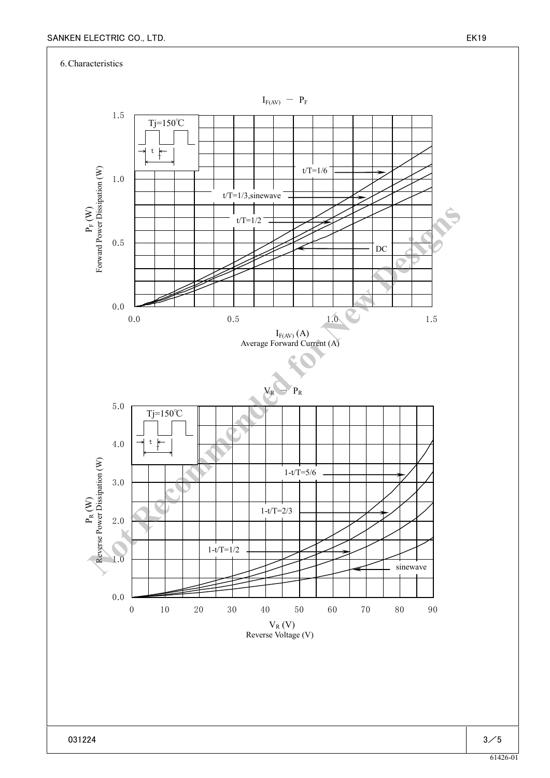6.Characteristics

 $I_{F(AV)} - P_F$  $\label{eq:2} \mathbf{P}_{\text{F}}\left(\mathbf{W}\right)$  Forward Power Dissipation  $(\mathbf{W})$ Forward Power Dissipation (W)  $I_{F(AV)}(A)$ Average Forward Current (A)  $V_R$  -  $P_R$  $\label{eq:1} \mathbf{P}_\text{R} \left( \mathbf{W} \right)$  <br> Reverse Power Dissipation  $(\mathbf{W})$ Reverse Power Dissipation (W)  $V_{R}$  (V) Reverse Voltage (V) 0.0 1.0 2.0 3.0 4.0 5.0 10 20 30 40 50 60 70 80 90 0.0 0.5 1.0 1.5 0.0 0.5 1.0 1.5 Tj=150℃ t T t/T=1/6  $t/T=1/3$ , sinewave  $\overline{\phantom{a}}$  $t/T=1/2$ . DC Tj=150℃ t T 1-t/T=5/6 sinewave 1-t/T=2/3 1-t/T=1/2 **Note that the matrix of the Contract Contract Contract Contract Contract Contract Contract Contract Contract Contract Contract Contract Contract Contract Contract Contract Contract Contract Contract Contract Contract Con**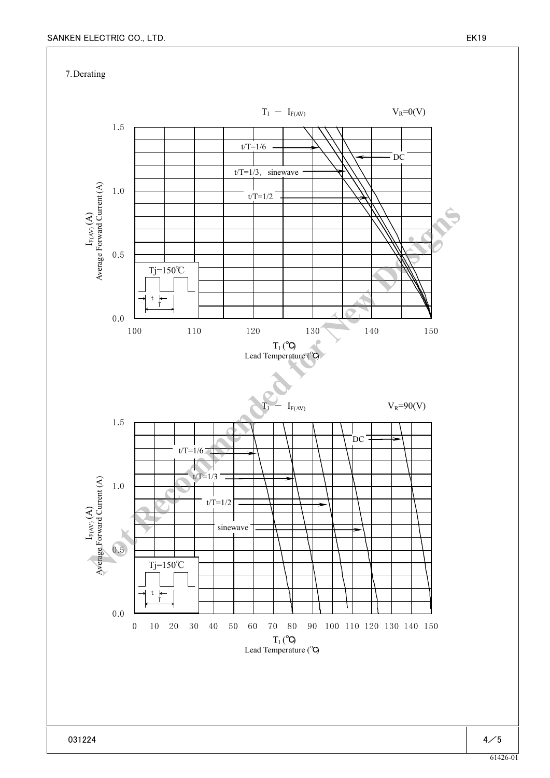7.Derating